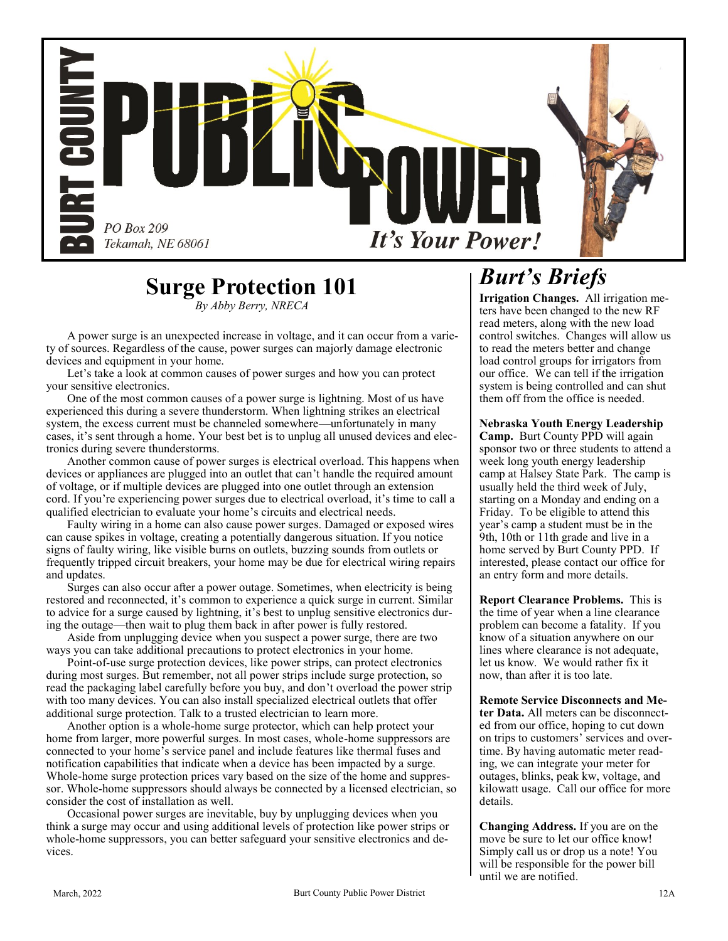

# **Surge Protection 101**

*By Abby Berry, NRECA*

A power surge is an unexpected increase in voltage, and it can occur from a variety of sources. Regardless of the cause, power surges can majorly damage electronic devices and equipment in your home.

Let's take a look at common causes of power surges and how you can protect your sensitive electronics.

One of the most common causes of a power surge is lightning. Most of us have experienced this during a severe thunderstorm. When lightning strikes an electrical system, the excess current must be channeled somewhere—unfortunately in many cases, it's sent through a home. Your best bet is to unplug all unused devices and electronics during severe thunderstorms.

Another common cause of power surges is electrical overload. This happens when devices or appliances are plugged into an outlet that can't handle the required amount of voltage, or if multiple devices are plugged into one outlet through an extension cord. If you're experiencing power surges due to electrical overload, it's time to call a qualified electrician to evaluate your home's circuits and electrical needs.

Faulty wiring in a home can also cause power surges. Damaged or exposed wires can cause spikes in voltage, creating a potentially dangerous situation. If you notice signs of faulty wiring, like visible burns on outlets, buzzing sounds from outlets or frequently tripped circuit breakers, your home may be due for electrical wiring repairs and updates.

Surges can also occur after a power outage. Sometimes, when electricity is being restored and reconnected, it's common to experience a quick surge in current. Similar to advice for a surge caused by lightning, it's best to unplug sensitive electronics during the outage—then wait to plug them back in after power is fully restored.

Aside from unplugging device when you suspect a power surge, there are two ways you can take additional precautions to protect electronics in your home.

Point-of-use surge protection devices, like power strips, can protect electronics during most surges. But remember, not all power strips include surge protection, so read the packaging label carefully before you buy, and don't overload the power strip with too many devices. You can also install specialized electrical outlets that offer additional surge protection. Talk to a trusted electrician to learn more.

Another option is a whole-home surge protector, which can help protect your home from larger, more powerful surges. In most cases, whole-home suppressors are connected to your home's service panel and include features like thermal fuses and notification capabilities that indicate when a device has been impacted by a surge. Whole-home surge protection prices vary based on the size of the home and suppressor. Whole-home suppressors should always be connected by a licensed electrician, so consider the cost of installation as well.

Occasional power surges are inevitable, buy by unplugging devices when you think a surge may occur and using additional levels of protection like power strips or whole-home suppressors, you can better safeguard your sensitive electronics and devices.

# *Burt's Briefs*

**Irrigation Changes.** All irrigation meters have been changed to the new RF read meters, along with the new load control switches. Changes will allow us to read the meters better and change load control groups for irrigators from our office. We can tell if the irrigation system is being controlled and can shut them off from the office is needed.

#### **Nebraska Youth Energy Leadership**

**Camp.** Burt County PPD will again sponsor two or three students to attend a week long youth energy leadership camp at Halsey State Park. The camp is usually held the third week of July, starting on a Monday and ending on a Friday. To be eligible to attend this year's camp a student must be in the 9th, 10th or 11th grade and live in a home served by Burt County PPD. If interested, please contact our office for an entry form and more details.

**Report Clearance Problems.** This is the time of year when a line clearance problem can become a fatality. If you know of a situation anywhere on our lines where clearance is not adequate, let us know. We would rather fix it now, than after it is too late.

**Remote Service Disconnects and Meter Data.** All meters can be disconnected from our office, hoping to cut down on trips to customers' services and overtime. By having automatic meter reading, we can integrate your meter for outages, blinks, peak kw, voltage, and kilowatt usage. Call our office for more details.

**Changing Address.** If you are on the move be sure to let our office know! Simply call us or drop us a note! You will be responsible for the power bill until we are notified.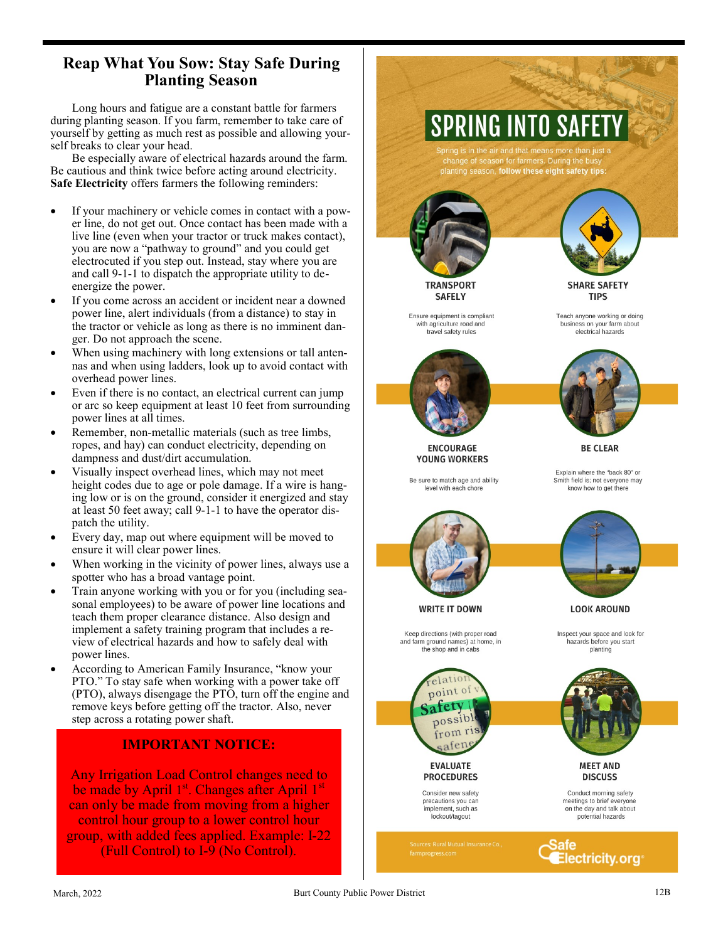## **Reap What You Sow: Stay Safe During Planting Season**

Long hours and fatigue are a constant battle for farmers during planting season. If you farm, remember to take care of yourself by getting as much rest as possible and allowing yourself breaks to clear your head.

Be especially aware of electrical hazards around the farm. Be cautious and think twice before acting around electricity. **Safe Electricity** offers farmers the following reminders:

- If your machinery or vehicle comes in contact with a power line, do not get out. Once contact has been made with a live line (even when your tractor or truck makes contact), you are now a "pathway to ground" and you could get electrocuted if you step out. Instead, stay where you are and call 9 - 1 -1 to dispatch the appropriate utility to de energize the power.
- If you come across an accident or incident near a downed power line, alert individuals (from a distance) to stay in the tractor or vehicle as long as there is no imminent danger. Do not approach the scene.
- When using machinery with long extensions or tall antennas and when using ladders, look up to avoid contact with overhead power lines.
- Even if there is no contact, an electrical current can jump or arc so keep equipment at least 10 feet from surrounding power lines at all times.
- Remember, non -metallic materials (such as tree limbs, ropes, and hay) can conduct electricity, depending on dampness and dust/dirt accumulation.
- Visually inspect overhead lines, which may not meet height codes due to age or pole damage. If a wire is hanging low or is on the ground, consider it energized and stay at least 50 feet away; call 9 - 1 -1 to have the operator dispatch the utility.
- Every day, map out where equipment will be moved to ensure it will clear power lines.
- When working in the vicinity of power lines, always use a spotter who has a broad vantage point.
- Train anyone working with you or for you (including seasonal employees) to be aware of power line locations and teach them proper clearance distance. Also design and implement a safety training program that includes a review of electrical hazards and how to safely deal with power lines.
- According to American Family Insurance, "know your PTO." To stay safe when working with a power take off (PTO), always disengage the PTO, turn off the engine and remove keys before getting off the tractor. Also, never step across a rotating power shaft.

### **IMPORTANT NOTICE:**

Any Irrigation Load Control changes need to be made by April 1st. Changes after April 1st can only be made from moving from a higher control hour group to a lower control hour group, with added fees applied. Example: I -22 (Full Control) to I -9 (No Control).

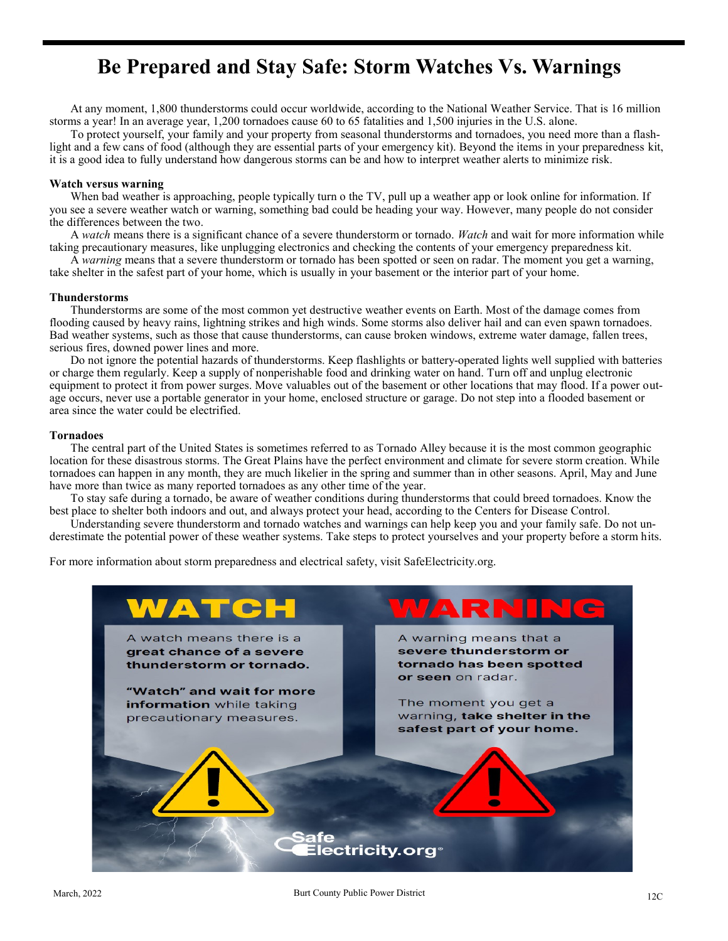# **Be Prepared and Stay Safe: Storm Watches Vs. Warnings**

At any moment, 1,800 thunderstorms could occur worldwide, according to the National Weather Service. That is 16 million storms a year! In an average year, 1,200 tornadoes cause 60 to 65 fatalities and 1,500 injuries in the U.S. alone.

To protect yourself, your family and your property from seasonal thunderstorms and tornadoes, you need more than a flashlight and a few cans of food (although they are essential parts of your emergency kit). Beyond the items in your preparedness kit, it is a good idea to fully understand how dangerous storms can be and how to interpret weather alerts to minimize risk.

#### **Watch versus warning**

When bad weather is approaching, people typically turn o the TV, pull up a weather app or look online for information. If you see a severe weather watch or warning, something bad could be heading your way. However, many people do not consider the differences between the two.

A *watch* means there is a significant chance of a severe thunderstorm or tornado. *Watch* and wait for more information while taking precautionary measures, like unplugging electronics and checking the contents of your emergency preparedness kit.

A *warning* means that a severe thunderstorm or tornado has been spotted or seen on radar. The moment you get a warning, take shelter in the safest part of your home, which is usually in your basement or the interior part of your home.

#### **Thunderstorms**

Thunderstorms are some of the most common yet destructive weather events on Earth. Most of the damage comes from flooding caused by heavy rains, lightning strikes and high winds. Some storms also deliver hail and can even spawn tornadoes. Bad weather systems, such as those that cause thunderstorms, can cause broken windows, extreme water damage, fallen trees, serious fires, downed power lines and more.

Do not ignore the potential hazards of thunderstorms. Keep flashlights or battery-operated lights well supplied with batteries or charge them regularly. Keep a supply of nonperishable food and drinking water on hand. Turn off and unplug electronic equipment to protect it from power surges. Move valuables out of the basement or other locations that may flood. If a power outage occurs, never use a portable generator in your home, enclosed structure or garage. Do not step into a flooded basement or area since the water could be electrified.

#### **Tornadoes**

The central part of the United States is sometimes referred to as Tornado Alley because it is the most common geographic location for these disastrous storms. The Great Plains have the perfect environment and climate for severe storm creation. While tornadoes can happen in any month, they are much likelier in the spring and summer than in other seasons. April, May and June have more than twice as many reported tornadoes as any other time of the year.

To stay safe during a tornado, be aware of weather conditions during thunderstorms that could breed tornadoes. Know the best place to shelter both indoors and out, and always protect your head, according to the Centers for Disease Control.

Understanding severe thunderstorm and tornado watches and warnings can help keep you and your family safe. Do not underestimate the potential power of these weather systems. Take steps to protect yourselves and your property before a storm hits.

For more information about storm preparedness and electrical safety, visit SafeElectricity.org.